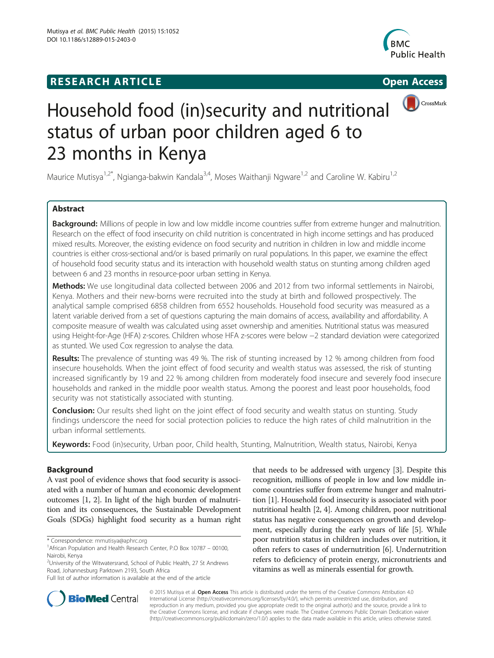## **RESEARCH ARTICLE Example 2014 12:30 The SEAR CHIPS 2014 12:30 The Open Access**





# Household food (in)security and nutritional status of urban poor children aged 6 to 23 months in Kenya

Maurice Mutisya<sup>1,2\*</sup>, Ngianga-bakwin Kandala<sup>3,4</sup>, Moses Waithanji Ngware<sup>1,2</sup> and Caroline W. Kabiru<sup>1,2</sup>

## Abstract

Background: Millions of people in low and low middle income countries suffer from extreme hunger and malnutrition. Research on the effect of food insecurity on child nutrition is concentrated in high income settings and has produced mixed results. Moreover, the existing evidence on food security and nutrition in children in low and middle income countries is either cross-sectional and/or is based primarily on rural populations. In this paper, we examine the effect of household food security status and its interaction with household wealth status on stunting among children aged between 6 and 23 months in resource-poor urban setting in Kenya.

Methods: We use longitudinal data collected between 2006 and 2012 from two informal settlements in Nairobi, Kenya. Mothers and their new-borns were recruited into the study at birth and followed prospectively. The analytical sample comprised 6858 children from 6552 households. Household food security was measured as a latent variable derived from a set of questions capturing the main domains of access, availability and affordability. A composite measure of wealth was calculated using asset ownership and amenities. Nutritional status was measured using Height-for-Age (HFA) z-scores. Children whose HFA z-scores were below −2 standard deviation were categorized as stunted. We used Cox regression to analyse the data.

Results: The prevalence of stunting was 49 %. The risk of stunting increased by 12 % among children from food insecure households. When the joint effect of food security and wealth status was assessed, the risk of stunting increased significantly by 19 and 22 % among children from moderately food insecure and severely food insecure households and ranked in the middle poor wealth status. Among the poorest and least poor households, food security was not statistically associated with stunting.

**Conclusion:** Our results shed light on the joint effect of food security and wealth status on stunting. Study findings underscore the need for social protection policies to reduce the high rates of child malnutrition in the urban informal settlements.

**Keywords:** Food (in)security, Urban poor, Child health, Stunting, Malnutrition, Wealth status, Nairobi, Kenya

## Background

A vast pool of evidence shows that food security is associated with a number of human and economic development outcomes [\[1](#page-8-0), [2](#page-8-0)]. In light of the high burden of malnutrition and its consequences, the Sustainable Development Goals (SDGs) highlight food security as a human right

that needs to be addressed with urgency [[3\]](#page-8-0). Despite this recognition, millions of people in low and low middle income countries suffer from extreme hunger and malnutrition [\[1](#page-8-0)]. Household food insecurity is associated with poor nutritional health [[2, 4](#page-8-0)]. Among children, poor nutritional status has negative consequences on growth and development, especially during the early years of life [\[5\]](#page-8-0). While poor nutrition status in children includes over nutrition, it often refers to cases of undernutrition [\[6](#page-8-0)]. Undernutrition refers to deficiency of protein energy, micronutrients and vitamins as well as minerals essential for growth.



© 2015 Mutisya et al. Open Access This article is distributed under the terms of the Creative Commons Attribution 4.0 International License [\(http://creativecommons.org/licenses/by/4.0/](http://creativecommons.org/licenses/by/4.0/)), which permits unrestricted use, distribution, and reproduction in any medium, provided you give appropriate credit to the original author(s) and the source, provide a link to the Creative Commons license, and indicate if changes were made. The Creative Commons Public Domain Dedication waiver [\(http://creativecommons.org/publicdomain/zero/1.0/](http://creativecommons.org/publicdomain/zero/1.0/)) applies to the data made available in this article, unless otherwise stated.

<sup>\*</sup> Correspondence: [mmutisya@aphrc.org](mailto:mmutisya@aphrc.org) <sup>1</sup>

<sup>&</sup>lt;sup>1</sup> African Population and Health Research Center, P.O Box 10787 – 00100, Nairobi, Kenya

<sup>2</sup> University of the Witwatersrand, School of Public Health, 27 St Andrews Road, Johannesburg Parktown 2193, South Africa

Full list of author information is available at the end of the article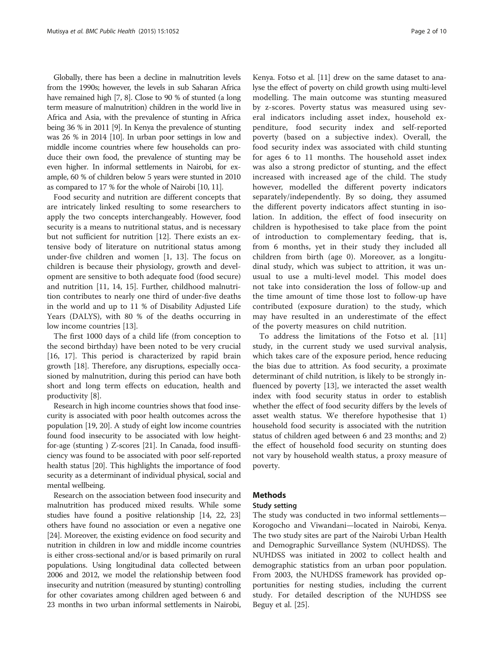Globally, there has been a decline in malnutrition levels from the 1990s; however, the levels in sub Saharan Africa have remained high [\[7](#page-8-0), [8\]](#page-8-0). Close to 90 % of stunted (a long term measure of malnutrition) children in the world live in Africa and Asia, with the prevalence of stunting in Africa being 36 % in 2011 [[9](#page-8-0)]. In Kenya the prevalence of stunting was 26 % in 2014 [\[10\]](#page-8-0). In urban poor settings in low and middle income countries where few households can produce their own food, the prevalence of stunting may be even higher. In informal settlements in Nairobi, for example, 60 % of children below 5 years were stunted in 2010 as compared to 17 % for the whole of Nairobi [\[10](#page-8-0), [11](#page-8-0)].

Food security and nutrition are different concepts that are intricately linked resulting to some researchers to apply the two concepts interchangeably. However, food security is a means to nutritional status, and is necessary but not sufficient for nutrition [\[12\]](#page-8-0). There exists an extensive body of literature on nutritional status among under-five children and women [\[1](#page-8-0), [13](#page-8-0)]. The focus on children is because their physiology, growth and development are sensitive to both adequate food (food secure) and nutrition [\[11](#page-8-0), [14](#page-8-0), [15](#page-8-0)]. Further, childhood malnutrition contributes to nearly one third of under-five deaths in the world and up to 11 % of Disability Adjusted Life Years (DALYS), with 80 % of the deaths occurring in low income countries [\[13\]](#page-8-0).

The first 1000 days of a child life (from conception to the second birthday) have been noted to be very crucial [[16, 17\]](#page-8-0). This period is characterized by rapid brain growth [\[18](#page-8-0)]. Therefore, any disruptions, especially occasioned by malnutrition, during this period can have both short and long term effects on education, health and productivity [\[8\]](#page-8-0).

Research in high income countries shows that food insecurity is associated with poor health outcomes across the population [[19](#page-8-0), [20\]](#page-8-0). A study of eight low income countries found food insecurity to be associated with low heightfor-age (stunting ) Z-scores [[21](#page-8-0)]. In Canada, food insufficiency was found to be associated with poor self-reported health status [\[20\]](#page-8-0). This highlights the importance of food security as a determinant of individual physical, social and mental wellbeing.

Research on the association between food insecurity and malnutrition has produced mixed results. While some studies have found a positive relationship [\[14,](#page-8-0) [22](#page-9-0), [23](#page-9-0)] others have found no association or even a negative one [[24](#page-9-0)]. Moreover, the existing evidence on food security and nutrition in children in low and middle income countries is either cross-sectional and/or is based primarily on rural populations. Using longitudinal data collected between 2006 and 2012, we model the relationship between food insecurity and nutrition (measured by stunting) controlling for other covariates among children aged between 6 and 23 months in two urban informal settlements in Nairobi,

Kenya. Fotso et al. [\[11](#page-8-0)] drew on the same dataset to analyse the effect of poverty on child growth using multi-level modelling. The main outcome was stunting measured by z-scores. Poverty status was measured using several indicators including asset index, household expenditure, food security index and self-reported poverty (based on a subjective index). Overall, the food security index was associated with child stunting for ages 6 to 11 months. The household asset index was also a strong predictor of stunting, and the effect increased with increased age of the child. The study however, modelled the different poverty indicators separately/independently. By so doing, they assumed the different poverty indicators affect stunting in isolation. In addition, the effect of food insecurity on children is hypothesised to take place from the point of introduction to complementary feeding, that is, from 6 months, yet in their study they included all children from birth (age 0). Moreover, as a longitudinal study, which was subject to attrition, it was unusual to use a multi-level model. This model does not take into consideration the loss of follow-up and the time amount of time those lost to follow-up have contributed (exposure duration) to the study, which may have resulted in an underestimate of the effect of the poverty measures on child nutrition.

To address the limitations of the Fotso et al. [[11](#page-8-0)] study, in the current study we used survival analysis, which takes care of the exposure period, hence reducing the bias due to attrition. As food security, a proximate determinant of child nutrition, is likely to be strongly influenced by poverty [[13](#page-8-0)], we interacted the asset wealth index with food security status in order to establish whether the effect of food security differs by the levels of asset wealth status. We therefore hypothesise that 1) household food security is associated with the nutrition status of children aged between 6 and 23 months; and 2) the effect of household food security on stunting does not vary by household wealth status, a proxy measure of poverty.

## Methods

## Study setting

The study was conducted in two informal settlements— Korogocho and Viwandani—located in Nairobi, Kenya. The two study sites are part of the Nairobi Urban Health and Demographic Surveillance System (NUHDSS). The NUHDSS was initiated in 2002 to collect health and demographic statistics from an urban poor population. From 2003, the NUHDSS framework has provided opportunities for nesting studies, including the current study. For detailed description of the NUHDSS see Beguy et al. [\[25\]](#page-9-0).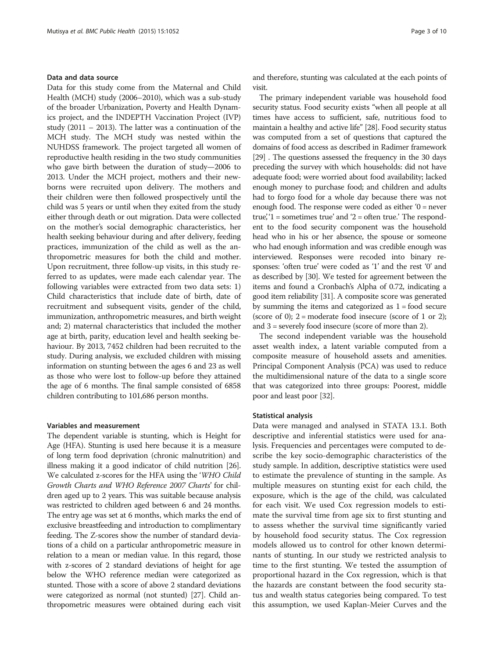#### Data and data source

Data for this study come from the Maternal and Child Health (MCH) study (2006–2010), which was a sub-study of the broader Urbanization, Poverty and Health Dynamics project, and the INDEPTH Vaccination Project (IVP) study (2011 – 2013). The latter was a continuation of the MCH study. The MCH study was nested within the NUHDSS framework. The project targeted all women of reproductive health residing in the two study communities who gave birth between the duration of study—2006 to 2013. Under the MCH project, mothers and their newborns were recruited upon delivery. The mothers and their children were then followed prospectively until the child was 5 years or until when they exited from the study either through death or out migration. Data were collected on the mother's social demographic characteristics, her health seeking behaviour during and after delivery, feeding practices, immunization of the child as well as the anthropometric measures for both the child and mother. Upon recruitment, three follow-up visits, in this study referred to as updates, were made each calendar year. The following variables were extracted from two data sets: 1) Child characteristics that include date of birth, date of recruitment and subsequent visits, gender of the child, immunization, anthropometric measures, and birth weight and; 2) maternal characteristics that included the mother age at birth, parity, education level and health seeking behaviour. By 2013, 7452 children had been recruited to the study. During analysis, we excluded children with missing information on stunting between the ages 6 and 23 as well as those who were lost to follow-up before they attained the age of 6 months. The final sample consisted of 6858 children contributing to 101,686 person months.

## Variables and measurement

The dependent variable is stunting, which is Height for Age (HFA). Stunting is used here because it is a measure of long term food deprivation (chronic malnutrition) and illness making it a good indicator of child nutrition [\[26](#page-9-0)]. We calculated z-scores for the HFA using the 'WHO Child Growth Charts and WHO Reference 2007 Charts' for children aged up to 2 years. This was suitable because analysis was restricted to children aged between 6 and 24 months. The entry age was set at 6 months, which marks the end of exclusive breastfeeding and introduction to complimentary feeding. The Z-scores show the number of standard deviations of a child on a particular anthropometric measure in relation to a mean or median value. In this regard, those with z-scores of 2 standard deviations of height for age below the WHO reference median were categorized as stunted. Those with a score of above 2 standard deviations were categorized as normal (not stunted) [\[27\]](#page-9-0). Child anthropometric measures were obtained during each visit

and therefore, stunting was calculated at the each points of visit.

The primary independent variable was household food security status. Food security exists "when all people at all times have access to sufficient, safe, nutritious food to maintain a healthy and active life" [\[28\]](#page-9-0). Food security status was computed from a set of questions that captured the domains of food access as described in Radimer framework [[29](#page-9-0)] . The questions assessed the frequency in the 30 days preceding the survey with which households: did not have adequate food; were worried about food availability; lacked enough money to purchase food; and children and adults had to forgo food for a whole day because there was not enough food. The response were coded as either '0 = never true,  $1 =$  sometimes true' and  $2 =$  often true.' The respondent to the food security component was the household head who in his or her absence, the spouse or someone who had enough information and was credible enough was interviewed. Responses were recoded into binary responses: 'often true' were coded as '1' and the rest '0' and as described by [\[30\]](#page-9-0). We tested for agreement between the items and found a Cronbach's Alpha of 0.72, indicating a good item reliability [\[31\]](#page-9-0). A composite score was generated by summing the items and categorized as  $1 =$  food secure (score of 0);  $2 =$  moderate food insecure (score of 1 or 2); and 3 = severely food insecure (score of more than 2).

The second independent variable was the household asset wealth index, a latent variable computed from a composite measure of household assets and amenities. Principal Component Analysis (PCA) was used to reduce the multidimensional nature of the data to a single score that was categorized into three groups: Poorest, middle poor and least poor [[32](#page-9-0)].

#### Statistical analysis

Data were managed and analysed in STATA 13.1. Both descriptive and inferential statistics were used for analysis. Frequencies and percentages were computed to describe the key socio-demographic characteristics of the study sample. In addition, descriptive statistics were used to estimate the prevalence of stunting in the sample. As multiple measures on stunting exist for each child, the exposure, which is the age of the child, was calculated for each visit. We used Cox regression models to estimate the survival time from age six to first stunting and to assess whether the survival time significantly varied by household food security status. The Cox regression models allowed us to control for other known determinants of stunting. In our study we restricted analysis to time to the first stunting. We tested the assumption of proportional hazard in the Cox regression, which is that the hazards are constant between the food security status and wealth status categories being compared. To test this assumption, we used Kaplan-Meier Curves and the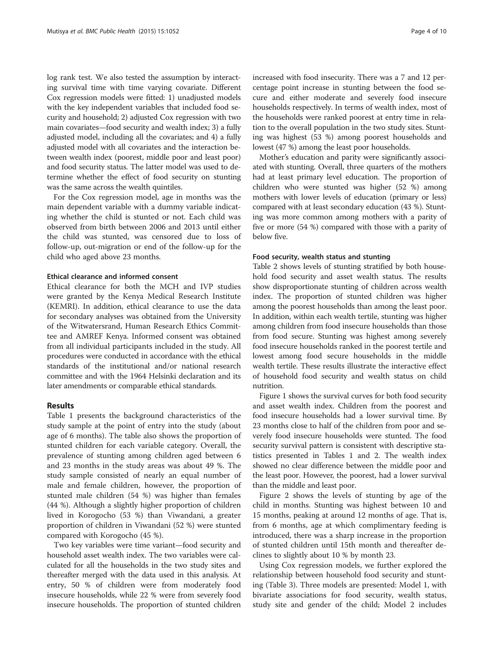log rank test. We also tested the assumption by interacting survival time with time varying covariate. Different Cox regression models were fitted: 1) unadjusted models with the key independent variables that included food security and household; 2) adjusted Cox regression with two main covariates—food security and wealth index; 3) a fully adjusted model, including all the covariates; and 4) a fully adjusted model with all covariates and the interaction between wealth index (poorest, middle poor and least poor) and food security status. The latter model was used to determine whether the effect of food security on stunting was the same across the wealth quintiles.

For the Cox regression model, age in months was the main dependent variable with a dummy variable indicating whether the child is stunted or not. Each child was observed from birth between 2006 and 2013 until either the child was stunted, was censored due to loss of follow-up, out-migration or end of the follow-up for the child who aged above 23 months.

#### Ethical clearance and informed consent

Ethical clearance for both the MCH and IVP studies were granted by the Kenya Medical Research Institute (KEMRI). In addition, ethical clearance to use the data for secondary analyses was obtained from the University of the Witwatersrand, Human Research Ethics Committee and AMREF Kenya. Informed consent was obtained from all individual participants included in the study. All procedures were conducted in accordance with the ethical standards of the institutional and/or national research committee and with the 1964 Helsinki declaration and its later amendments or comparable ethical standards.

## Results

Table [1](#page-4-0) presents the background characteristics of the study sample at the point of entry into the study (about age of 6 months). The table also shows the proportion of stunted children for each variable category. Overall, the prevalence of stunting among children aged between 6 and 23 months in the study areas was about 49 %. The study sample consisted of nearly an equal number of male and female children, however, the proportion of stunted male children (54 %) was higher than females (44 %). Although a slightly higher proportion of children lived in Korogocho (53 %) than Viwandani, a greater proportion of children in Viwandani (52 %) were stunted compared with Korogocho (45 %).

Two key variables were time variant—food security and household asset wealth index. The two variables were calculated for all the households in the two study sites and thereafter merged with the data used in this analysis. At entry, 50 % of children were from moderately food insecure households, while 22 % were from severely food insecure households. The proportion of stunted children increased with food insecurity. There was a 7 and 12 percentage point increase in stunting between the food secure and either moderate and severely food insecure households respectively. In terms of wealth index, most of the households were ranked poorest at entry time in relation to the overall population in the two study sites. Stunting was highest (53 %) among poorest households and lowest (47 %) among the least poor households.

Mother's education and parity were significantly associated with stunting. Overall, three quarters of the mothers had at least primary level education. The proportion of children who were stunted was higher (52 %) among mothers with lower levels of education (primary or less) compared with at least secondary education (43 %). Stunting was more common among mothers with a parity of five or more (54 %) compared with those with a parity of below five.

#### Food security, wealth status and stunting

Table [2](#page-4-0) shows levels of stunting stratified by both household food security and asset wealth status. The results show disproportionate stunting of children across wealth index. The proportion of stunted children was higher among the poorest households than among the least poor. In addition, within each wealth tertile, stunting was higher among children from food insecure households than those from food secure. Stunting was highest among severely food insecure households ranked in the poorest tertile and lowest among food secure households in the middle wealth tertile. These results illustrate the interactive effect of household food security and wealth status on child nutrition.

Figure [1](#page-5-0) shows the survival curves for both food security and asset wealth index. Children from the poorest and food insecure households had a lower survival time. By 23 months close to half of the children from poor and severely food insecure households were stunted. The food security survival pattern is consistent with descriptive statistics presented in Tables [1](#page-4-0) and [2](#page-4-0). The wealth index showed no clear difference between the middle poor and the least poor. However, the poorest, had a lower survival than the middle and least poor.

Figure [2](#page-6-0) shows the levels of stunting by age of the child in months. Stunting was highest between 10 and 15 months, peaking at around 12 months of age. That is, from 6 months, age at which complimentary feeding is introduced, there was a sharp increase in the proportion of stunted children until 15th month and thereafter declines to slightly about 10 % by month 23.

Using Cox regression models, we further explored the relationship between household food security and stunting (Table [3\)](#page-5-0). Three models are presented: Model 1, with bivariate associations for food security, wealth status, study site and gender of the child; Model 2 includes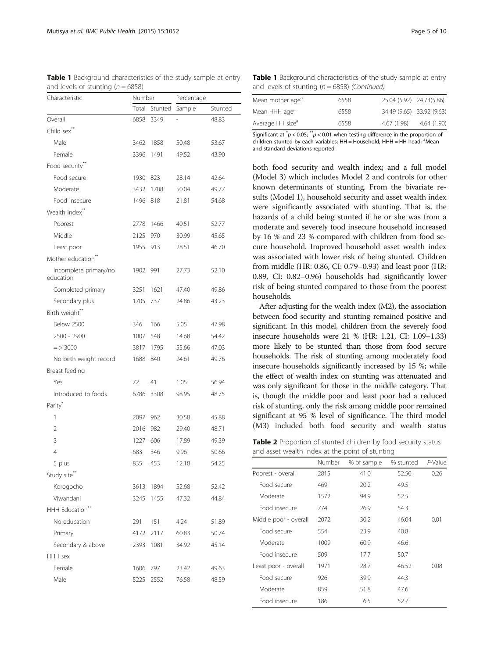| Characteristic                     | Number |               | Percentage |         |  |
|------------------------------------|--------|---------------|------------|---------|--|
|                                    | Total  | Stunted       | Sample     | Stunted |  |
| Overall                            | 6858   | 3349          |            | 48.83   |  |
| Child sex**                        |        |               |            |         |  |
| Male                               | 3462   | 1858          | 50.48      | 53.67   |  |
| Female                             | 3396   | 1491          | 49.52      | 43.90   |  |
| Food security <sup>**</sup>        |        |               |            |         |  |
| Food secure                        | 1930   | 823           | 28.14      | 42.64   |  |
| Moderate                           | 3432   | 1708          | 50.04      | 49.77   |  |
| Food insecure                      | 1496   | 818           | 21.81      | 54.68   |  |
| Wealth index <sup>®</sup>          |        |               |            |         |  |
| Poorest                            | 2778   | 1466<br>40.51 |            | 52.77   |  |
| Middle                             | 2125   | 970           | 30.99      | 45.65   |  |
| Least poor                         | 1955   | 913           | 28.51      | 46.70   |  |
| Mother education <sup>77</sup>     |        |               |            |         |  |
| Incomplete primary/no<br>education | 1902   | 991           | 27.73      | 52.10   |  |
| Completed primary                  | 3251   | 1621          | 47.40      | 49.86   |  |
| Secondary plus                     | 1705   | 737           | 24.86      | 43.23   |  |
| Birth weight**                     |        |               |            |         |  |
| Below 2500                         | 346    | 166           | 5.05       | 47.98   |  |
| 2500 - 2900                        | 1007   | 548           | 14.68      | 54.42   |  |
| $=$ > 3000                         | 3817   | 1795          | 55.66      | 47.03   |  |
| No birth weight record             | 1688   | 840           | 24.61      | 49.76   |  |
| Breast feeding                     |        |               |            |         |  |
| Yes                                | 72     | 41            | 1.05       | 56.94   |  |
| Introduced to foods                | 6786   | 3308          | 98.95      | 48.75   |  |
| Parity <sup>*</sup>                |        |               |            |         |  |
| 1                                  | 2097   | 962           | 30.58      | 45.88   |  |
| 2                                  | 2016   | 982           | 29.40      | 48.71   |  |
| 3                                  | 1227   | 606           | 17.89      | 49.39   |  |
| 4                                  | 683    | 346           | 9.96       | 50.66   |  |
| 5 plus                             | 835    | 453           | 12.18      | 54.25   |  |
| Study site**                       |        |               |            |         |  |
| Korogocho                          | 3613   | 1894          | 52.68      | 52.42   |  |
| Viwandani                          | 3245   | 1455          | 47.32      | 44.84   |  |
| HHH Education <sup>**</sup>        |        |               |            |         |  |
| No education                       | 291    | 151           | 4.24       | 51.89   |  |
| Primary                            | 4172   | 2117          | 60.83      | 50.74   |  |
| Secondary & above                  | 2393   | 1081          | 34.92      | 45.14   |  |
| HHH sex                            |        |               |            |         |  |
| Female                             | 1606   | 797           | 23.42      | 49.63   |  |
| Male                               | 5225   | 2552          | 76.58      | 48.59   |  |

<span id="page-4-0"></span>Table 1 Background characteristics of the study sample at entry and levels of stunting  $(n = 6858)$ 

| <b>Table 1</b> Background characteristics of the study sample at entry |  |
|------------------------------------------------------------------------|--|
| and levels of stunting ( $n = 6858$ ) (Continued)                      |  |

| Mean mother age <sup>a</sup> | 6558 | 25.04 (5.92) 24.73(5.86)  |             |
|------------------------------|------|---------------------------|-------------|
| Mean HHH age <sup>a</sup>    | 6558 | 34.49 (9.65) 33.92 (9.63) |             |
| Average HH size <sup>a</sup> | 6558 | 4.67 (1.98)               | 4.64 (1.90) |

Significant at  $p$  < 0.05;  $p$  < 0.01 when testing difference in the proportion of children stunted by each variables; HH = Household; HHH = HH head; <sup>a</sup>Mean and standard deviations reported

both food security and wealth index; and a full model (Model 3) which includes Model 2 and controls for other known determinants of stunting. From the bivariate results (Model 1), household security and asset wealth index were significantly associated with stunting. That is, the hazards of a child being stunted if he or she was from a moderate and severely food insecure household increased by 16 % and 23 % compared with children from food secure household. Improved household asset wealth index was associated with lower risk of being stunted. Children from middle (HR: 0.86, CI: 0.79–0.93) and least poor (HR: 0.89, CI: 0.82–0.96) households had significantly lower risk of being stunted compared to those from the poorest households.

After adjusting for the wealth index (M2), the association between food security and stunting remained positive and significant. In this model, children from the severely food insecure households were 21 % (HR: 1.21, CI: 1.09–1.33) more likely to be stunted than those from food secure households. The risk of stunting among moderately food insecure households significantly increased by 15 %; while the effect of wealth index on stunting was attenuated and was only significant for those in the middle category. That is, though the middle poor and least poor had a reduced risk of stunting, only the risk among middle poor remained significant at 95 % level of significance. The third model (M3) included both food security and wealth status

Table 2 Proportion of stunted children by food security status and asset wealth index at the point of stunting

|                       | Number | % of sample | % stunted | P-Value |
|-----------------------|--------|-------------|-----------|---------|
| Poorest - overall     | 2815   | 41.0        | 52.50     | 0.26    |
| Food secure           | 469    | 20.2        | 49.5      |         |
| Moderate              | 1572   | 94.9        | 52.5      |         |
| Food insecure         | 774    | 26.9        | 54.3      |         |
| Middle poor - overall | 2072   | 30.2        | 46.04     | 0.01    |
| Food secure           | 554    | 23.9        | 40.8      |         |
| Moderate              | 1009   | 60.9        | 46.6      |         |
| Food insecure         | 509    | 17.7        | 50.7      |         |
| Least poor - overall  | 1971   | 28.7        | 46.52     | 0.08    |
| Food secure           | 926    | 39.9        | 44.3      |         |
| Moderate              | 859    | 51.8        | 47.6      |         |
| Food insecure         | 186    | 6.5         | 52.7      |         |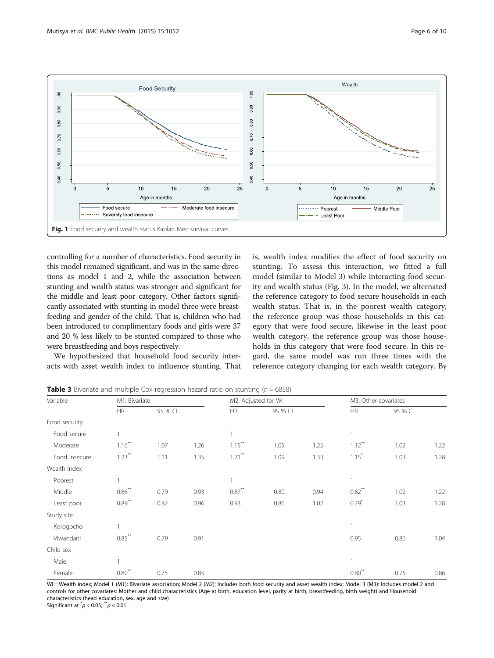<span id="page-5-0"></span>

controlling for a number of characteristics. Food security in this model remained significant, and was in the same directions as model 1 and 2, while the association between stunting and wealth status was stronger and significant for the middle and least poor category. Other factors significantly associated with stunting in model three were breastfeeding and gender of the child. That is, children who had been introduced to complimentary foods and girls were 37 and 20 % less likely to be stunted compared to those who were breastfeeding and boys respectively.

Fig. 1 Food security and wealth status Kaplan Meir survival curves

We hypothesized that household food security interacts with asset wealth index to influence stunting. That is, wealth index modifies the effect of food security on stunting. To assess this interaction, we fitted a full model (similar to Model 3) while interacting food security and wealth status (Fig. [3](#page-6-0)). In the model, we alternated the reference category to food secure households in each wealth status. That is, in the poorest wealth category, the reference group was those households in this category that were food secure, likewise in the least poor wealth category, the reference group was those households in this category that were food secure. In this regard, the same model was run three times with the reference category changing for each wealth category. By

**Table 3** Bivariate and multiple Cox regression hazard ratio on stunting ( $n = 6858$ )

| Variable      | M1: Bivariate |         |      | M2: Adjusted for WI  |         |      | M3: Other covariates |         |      |
|---------------|---------------|---------|------|----------------------|---------|------|----------------------|---------|------|
|               | <b>HR</b>     | 95 % CI |      | <b>HR</b>            | 95 % CI |      | <b>HR</b>            | 95 % CI |      |
| Food security |               |         |      |                      |         |      |                      |         |      |
| Food secure   |               |         |      | $\mathbf{1}$         |         |      |                      |         |      |
| Moderate      | $1.16***$     | 1.07    | 1.26 | $1.15***$            | 1.05    | 1.25 | $1.12***$            | 1.02    | 1.22 |
| Food insecure | $1.23***$     | 1.11    | 1.35 | $1.21$ <sup>**</sup> | 1.09    | 1.33 | $1.15*$              | 1.03    | 1.28 |
| Wealth index  |               |         |      |                      |         |      |                      |         |      |
| Poorest       |               |         |      | $\overline{1}$       |         |      |                      |         |      |
| Middle        | $0.86***$     | 0.79    | 0.93 | $0.87***$            | 0.80    | 0.94 | $0.82***$            | 1.02    | 1.22 |
| Least poor    | $0.89***$     | 0.82    | 0.96 | 0.93                 | 0.86    | 1.02 | $0.79*$              | 1.03    | 1.28 |
| Study site    |               |         |      |                      |         |      |                      |         |      |
| Korogocho     |               |         |      |                      |         |      | $\mathbf{1}$         |         |      |
| Viwandani     | $0.85***$     | 0.79    | 0.91 |                      |         |      | 0.95                 | 0.86    | 1.04 |
| Child sex     |               |         |      |                      |         |      |                      |         |      |
| Male          |               |         |      |                      |         |      | $\overline{1}$       |         |      |
| Female        | $0.80***$     | 0.75    | 0.85 |                      |         |      | $0.80***$            | 0.75    | 0.86 |

WI = Wealth index; Model 1 (M1): Bivariate association; Model 2 (M2): Includes both food security and asset wealth index; Model 3 (M3): Includes model 2 and controls for other covariates: Mother and child characteristics (Age at birth, education level, parity at birth, breastfeeding, birth weight) and Household characteristics (head education, sex, age and size)

Significant at  $\bar{p}$  < 0.05;  $\bar{p}$  < 0.01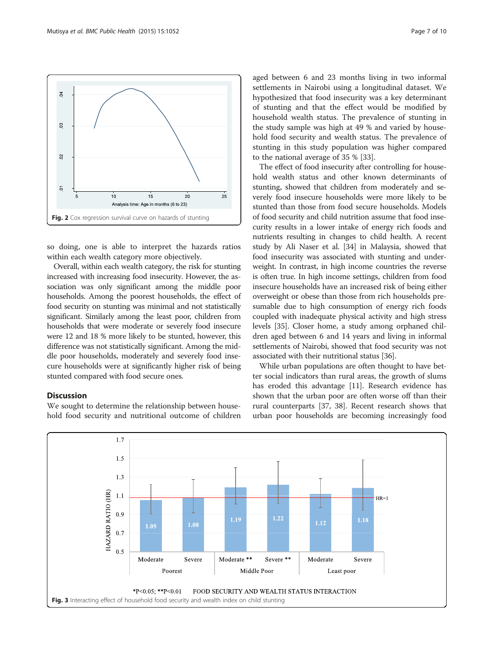<span id="page-6-0"></span>

so doing, one is able to interpret the hazards ratios within each wealth category more objectively.

Overall, within each wealth category, the risk for stunting increased with increasing food insecurity. However, the association was only significant among the middle poor households. Among the poorest households, the effect of food security on stunting was minimal and not statistically significant. Similarly among the least poor, children from households that were moderate or severely food insecure were 12 and 18 % more likely to be stunted, however, this difference was not statistically significant. Among the middle poor households, moderately and severely food insecure households were at significantly higher risk of being stunted compared with food secure ones.

## **Discussion**

We sought to determine the relationship between household food security and nutritional outcome of children aged between 6 and 23 months living in two informal settlements in Nairobi using a longitudinal dataset. We hypothesized that food insecurity was a key determinant of stunting and that the effect would be modified by household wealth status. The prevalence of stunting in the study sample was high at 49 % and varied by household food security and wealth status. The prevalence of stunting in this study population was higher compared to the national average of 35 % [[33](#page-9-0)].

The effect of food insecurity after controlling for household wealth status and other known determinants of stunting, showed that children from moderately and severely food insecure households were more likely to be stunted than those from food secure households. Models of food security and child nutrition assume that food insecurity results in a lower intake of energy rich foods and nutrients resulting in changes to child health. A recent study by Ali Naser et al. [\[34\]](#page-9-0) in Malaysia, showed that food insecurity was associated with stunting and underweight. In contrast, in high income countries the reverse is often true. In high income settings, children from food insecure households have an increased risk of being either overweight or obese than those from rich households presumable due to high consumption of energy rich foods coupled with inadequate physical activity and high stress levels [[35\]](#page-9-0). Closer home, a study among orphaned children aged between 6 and 14 years and living in informal settlements of Nairobi, showed that food security was not associated with their nutritional status [\[36\]](#page-9-0).

While urban populations are often thought to have better social indicators than rural areas, the growth of slums has eroded this advantage [\[11\]](#page-8-0). Research evidence has shown that the urban poor are often worse off than their rural counterparts [\[37, 38](#page-9-0)]. Recent research shows that urban poor households are becoming increasingly food

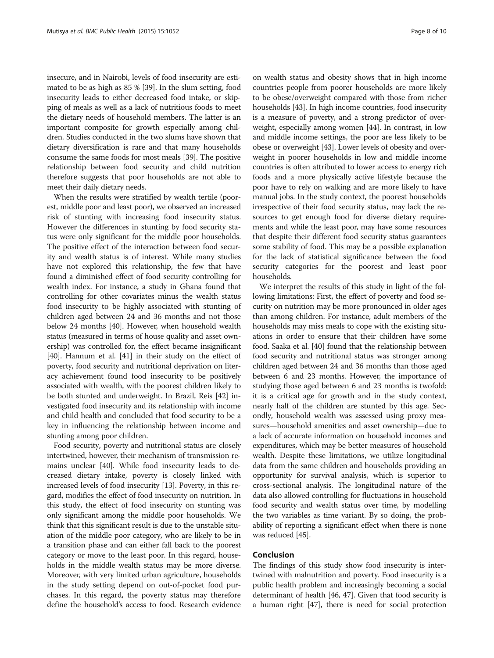insecure, and in Nairobi, levels of food insecurity are estimated to be as high as 85 % [\[39](#page-9-0)]. In the slum setting, food insecurity leads to either decreased food intake, or skipping of meals as well as a lack of nutritious foods to meet the dietary needs of household members. The latter is an important composite for growth especially among children. Studies conducted in the two slums have shown that dietary diversification is rare and that many households consume the same foods for most meals [[39](#page-9-0)]. The positive relationship between food security and child nutrition therefore suggests that poor households are not able to meet their daily dietary needs.

When the results were stratified by wealth tertile (poorest, middle poor and least poor), we observed an increased risk of stunting with increasing food insecurity status. However the differences in stunting by food security status were only significant for the middle poor households. The positive effect of the interaction between food security and wealth status is of interest. While many studies have not explored this relationship, the few that have found a diminished effect of food security controlling for wealth index. For instance, a study in Ghana found that controlling for other covariates minus the wealth status food insecurity to be highly associated with stunting of children aged between 24 and 36 months and not those below 24 months [[40](#page-9-0)]. However, when household wealth status (measured in terms of house quality and asset ownership) was controlled for, the effect became insignificant [[40](#page-9-0)]. Hannum et al. [\[41\]](#page-9-0) in their study on the effect of poverty, food security and nutritional deprivation on literacy achievement found food insecurity to be positively associated with wealth, with the poorest children likely to be both stunted and underweight. In Brazil, Reis [[42](#page-9-0)] investigated food insecurity and its relationship with income and child health and concluded that food security to be a key in influencing the relationship between income and stunting among poor children.

Food security, poverty and nutritional status are closely intertwined, however, their mechanism of transmission remains unclear [\[40\]](#page-9-0). While food insecurity leads to decreased dietary intake, poverty is closely linked with increased levels of food insecurity [\[13\]](#page-8-0). Poverty, in this regard, modifies the effect of food insecurity on nutrition. In this study, the effect of food insecurity on stunting was only significant among the middle poor households. We think that this significant result is due to the unstable situation of the middle poor category, who are likely to be in a transition phase and can either fall back to the poorest category or move to the least poor. In this regard, households in the middle wealth status may be more diverse. Moreover, with very limited urban agriculture, households in the study setting depend on out-of-pocket food purchases. In this regard, the poverty status may therefore define the household's access to food. Research evidence

on wealth status and obesity shows that in high income countries people from poorer households are more likely to be obese/overweight compared with those from richer households [[43](#page-9-0)]. In high income countries, food insecurity is a measure of poverty, and a strong predictor of overweight, especially among women [[44](#page-9-0)]. In contrast, in low and middle income settings, the poor are less likely to be obese or overweight [\[43\]](#page-9-0). Lower levels of obesity and overweight in poorer households in low and middle income countries is often attributed to lower access to energy rich foods and a more physically active lifestyle because the poor have to rely on walking and are more likely to have manual jobs. In the study context, the poorest households irrespective of their food security status, may lack the resources to get enough food for diverse dietary requirements and while the least poor, may have some resources that despite their different food security status guarantees some stability of food. This may be a possible explanation for the lack of statistical significance between the food security categories for the poorest and least poor households.

We interpret the results of this study in light of the following limitations: First, the effect of poverty and food security on nutrition may be more pronounced in older ages than among children. For instance, adult members of the households may miss meals to cope with the existing situations in order to ensure that their children have some food. Saaka et al. [[40](#page-9-0)] found that the relationship between food security and nutritional status was stronger among children aged between 24 and 36 months than those aged between 6 and 23 months. However, the importance of studying those aged between 6 and 23 months is twofold: it is a critical age for growth and in the study context, nearly half of the children are stunted by this age. Secondly, household wealth was assessed using proxy measures—household amenities and asset ownership—due to a lack of accurate information on household incomes and expenditures, which may be better measures of household wealth. Despite these limitations, we utilize longitudinal data from the same children and households providing an opportunity for survival analysis, which is superior to cross-sectional analysis. The longitudinal nature of the data also allowed controlling for fluctuations in household food security and wealth status over time, by modelling the two variables as time variant. By so doing, the probability of reporting a significant effect when there is none was reduced [\[45\]](#page-9-0).

## Conclusion

The findings of this study show food insecurity is intertwined with malnutrition and poverty. Food insecurity is a public health problem and increasingly becoming a social determinant of health [[46](#page-9-0), [47](#page-9-0)]. Given that food security is a human right [[47](#page-9-0)], there is need for social protection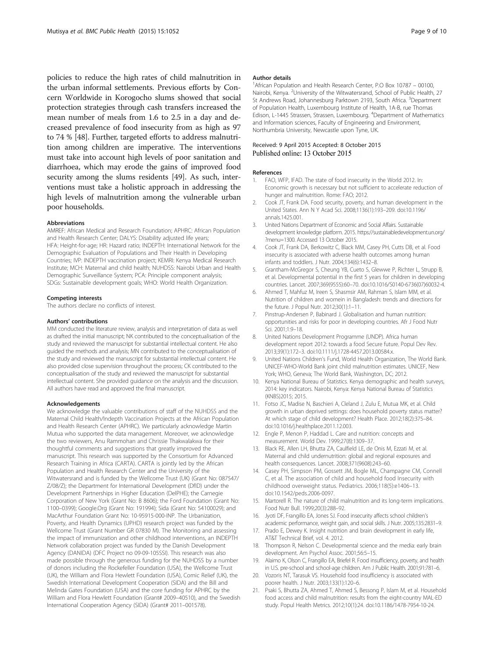<span id="page-8-0"></span>policies to reduce the high rates of child malnutrition in the urban informal settlements. Previous efforts by Concern Worldwide in Korogocho slums showed that social protection strategies through cash transfers increased the mean number of meals from 1.6 to 2.5 in a day and decreased prevalence of food insecurity from as high as 97 to 74 % [\[48\]](#page-9-0). Further, targeted efforts to address malnutrition among children are imperative. The interventions must take into account high levels of poor sanitation and diarrhoea, which may erode the gains of improved food security among the slums residents [\[49\]](#page-9-0). As such, interventions must take a holistic approach in addressing the high levels of malnutrition among the vulnerable urban poor households.

#### Abbreviations

AMREF: African Medical and Research Foundation; APHRC: African Population and Health Research Center; DALYS: Disability adjusted life years; HFA: Height-for-age; HR: Hazard ratio; INDEPTH: International Network for the Demographic Evaluation of Populations and Their Health in Developing Countries; IVP: INDEPTH vaccination project; KEMRI: Kenya Medical Research Institute; MCH: Maternal and child health; NUHDSS: Nairobi Urban and Health Demographic Surveillance System; PCA: Principle component analysis; SDGs: Sustainable development goals; WHO: World Health Organization.

#### Competing interests

The authors declare no conflicts of interest.

#### Authors' contributions

MM conducted the literature review, analysis and interpretation of data as well as drafted the initial manuscript; NK contributed to the conceptualisation of the study and reviewed the manuscript for substantial intellectual content. He also guided the methods and analysis; MN contributed to the conceptualisation of the study and reviewed the manuscript for substantial intellectual content. He also provided close supervision throughout the process; CK contributed to the conceptualisation of the study and reviewed the manuscript for substantial intellectual content. She provided guidance on the analysis and the discussion. All authors have read and approved the final manuscript.

#### Acknowledgements

We acknowledge the valuable contributions of staff of the NUHDSS and the Maternal Child Health/Indepth Vaccination Projects at the African Population and Health Research Center (APHRC). We particularly acknowledge Martin Mutua who supported the data management. Moreover, we acknowledge the two reviewers, Anu Rammohan and Chrissie Thakwalakwa for their thoughtful comments and suggestions that greatly improved the manuscript. This research was supported by the Consortium for Advanced Research Training in Africa (CARTA). CARTA is jointly led by the African Population and Health Research Center and the University of the Witwatersrand and is funded by the Wellcome Trust (UK) (Grant No: 087547/ Z/08/Z); the Department for International Development (DfID) under the Development Partnerships in Higher Education (DelPHE); the Carnegie Corporation of New York (Grant No: B 8606); the Ford Foundation (Grant No: 1100–0399); Google.Org (Grant No: 191994); Sida (Grant No: 54100029); and MacArthur Foundation Grant No: 10-95915-000-INP. The Urbanization, Poverty, and Health Dynamics (UPHD) research project was funded by the Wellcome Trust (Grant Number GR 07830 M). The Monitoring and assessing the impact of immunization and other childhood interventions, an INDEPTH Network collaboration project was funded by the Danish Development Agency (DANIDA) (DFC Project no 09-09-105SSI). This research was also made possible through the generous funding for the NUHDSS by a number of donors including the Rockefeller Foundation (USA), the Wellcome Trust (UK), the William and Flora Hewlett Foundation (USA), Comic Relief (UK), the Swedish International Development Cooperation (SIDA) and the Bill and Melinda Gates Foundation (USA) and the core funding for APHRC by the William and Flora Hewlett Foundation (Grant# 2009–40510), and the Swedish International Cooperation Agency (SIDA) (Grant# 2011–001578).

#### Author details

<sup>1</sup> African Population and Health Research Center, P.O Box 10787 - 00100 Nairobi, Kenya. <sup>2</sup>University of the Witwatersrand, School of Public Health, 27 St Andrews Road, Johannesburg Parktown 2193, South Africa. <sup>3</sup>Department of Population Health, Luxembourg Institute of Health, 1A-B, rue Thomas Edison, L-1445 Strassen, Strassen, Luxembourg. <sup>4</sup>Department of Mathematics and Information sciences, Faculty of Engineering and Environment, Northumbria University, Newcastle upon Tyne, UK.

#### Received: 9 April 2015 Accepted: 8 October 2015 Published online: 13 October 2015

#### References

- 1. FAO, WFP, IFAD. The state of food insecurity in the World 2012. In: Economic growth is necessary but not sufficient to accelerate reduction of hunger and malnutrition. Rome: FAO; 2012.
- 2. Cook JT, Frank DA. Food security, poverty, and human development in the United States. Ann N Y Acad Sci. 2008;1136(1):193–209. doi[:10.1196/](http://dx.doi.org/10.1196/annals.1425.001) [annals.1425.001](http://dx.doi.org/10.1196/annals.1425.001).
- 3. United Nations Department of Economic and Social Affairs. Sustainable development knowledge platform. 2015. [https://sustainabledevelopment.un.org/](https://sustainabledevelopment.un.org/?menu=1300) [?menu=1300](https://sustainabledevelopment.un.org/?menu=1300). Accessed 13 October 2015.
- 4. Cook JT, Frank DA, Berkowitz C, Black MM, Casey PH, Cutts DB, et al. Food insecurity is associated with adverse health outcomes among human infants and toddlers. J Nutr. 2004;134(6):1432–8.
- 5. Grantham-McGregor S, Cheung YB, Cueto S, Glewwe P, Richter L, Strupp B, et al. Developmental potential in the first 5 years for children in developing countries. Lancet. 2007;369(9555):60–70. doi:[10.1016/S0140-6736\(07\)60032-4.](http://dx.doi.org/10.1016/S0140-6736(07)60032-4)
- 6. Ahmed T, Mahfuz M, Ireen S, Shasmsir AM, Rahman S, Islam MM, et al. Nutrition of children and womein in Bangladesh: trends and directions for the future. J Popul Nutr. 2012;30(1):1–11.
- 7. Pinstrup-Andersen P, Babinard J. Globalisation and human nutrition: opportunities and risks for poor in developing countries. Afr J Food Nutr Sci. 2001;1:9–18.
- 8. United Nations Development Programme (UNDP). Africa human development report 2012: towards a food Secure future. Popul Dev Rev. 2013;39(1):172–3. doi:[10.1111/j.1728-4457.2013.00584.x.](http://dx.doi.org/10.1111/j.1728-4457.2013.00584.x)
- 9. United Nations Children's Fund, World Health Organization, The World Bank. UNICEF-WHO-World Bank joint child malnutrition estimates. UNICEF, New York; WHO, Geneva; The World Bank, Washington, DC; 2012.
- 10. Kenya National Bureau of Statistics. Kenya demographic and health surveys, 2014: key indicators. Nairobi, Kenya: Kenya National Bureau of Statistics (KNBS)2015; 2015.
- 11. Fotso JC, Madise N, Baschieri A, Cleland J, Zulu E, Mutua MK, et al. Child growth in urban deprived settings: does household poverty status matter? At which stage of child development? Health Place. 2012;18(2):375–84. doi[:10.1016/j.healthplace.2011.12.003.](http://dx.doi.org/10.1016/j.healthplace.2011.12.003)
- 12. Engle P, Menon P, Haddad L. Care and nutrition: concepts and measurement. World Dev. 1999;27(8):1309–37.
- 13. Black RE, Allen LH, Bhutta ZA, Caulfield LE, de Onis M, Ezzati M, et al. Maternal and child undernutrition: global and regional exposures and health consequences. Lancet. 2008;371(9608):243–60.
- 14. Casey PH, Simpson PM, Gossett JM, Bogle ML, Champagne CM, Connell C, et al. The association of child and household food Insecurity with childhood overweight status. Pediatrics. 2006;118(5):e1406–13. doi:[10.1542/peds.2006-0097](http://dx.doi.org/10.1542/peds.2006-0097).
- 15. Martorell R. The nature of child malnutrition and its long-term implications. Food Nutr Bull. 1999;20(3):288–92.
- 16. Jyoti DF, Frangillo EA, Jones SJ. Food insecurity affects school children's academic performance, weight gain, and social skills. J Nutr. 2005;135:2831–9.
- 17. Prado E, Dewey K. Insight nutrition and brain development in early life, AT&T Technical Brief, vol. 4. 2012.
- 18. Thompson R, Nelson C. Developmental science and the media: early brain development. Am Psychol Assoc. 2001;56:5–15.
- 19. Alaimo K, Olson C, Frangillo EA, Briefel R. Food insufficiency, poverty, and health in U.S. pre-school and school-age children. Am J Public Health. 2001;91:781–6.
- 20. Vozoris NT, Tarasuk VS. Household food insufficiency is associated with poorer health. J Nutr. 2003;133(1):120–6.
- 21. Psaki S, Bhutta ZA, Ahmed T, Ahmed S, Bessong P, Islam M, et al. Household food access and child malnutrition: results from the eight-country MAL-ED study. Popul Health Metrics. 2012;10(1):24. doi:[10.1186/1478-7954-10-24.](http://dx.doi.org/10.1186/1478-7954-10-24)